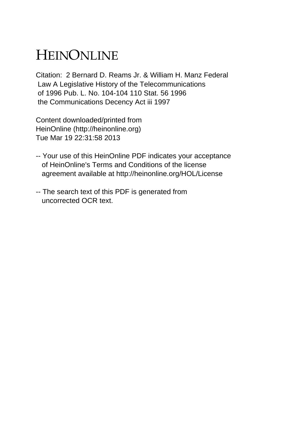## HEINONLINE

Citation: 2 Bernard D. Reams Jr. & William H. Manz Federal Law A Legislative History of the Telecommunications of 1996 Pub. L. No. 104-104 110 Stat. 56 1996 the Communications Decency Act iii 1997

Content downloaded/printed from HeinOnline (http://heinonline.org) Tue Mar 19 22:31:58 2013

- -- Your use of this HeinOnline PDF indicates your acceptance of HeinOnline's Terms and Conditions of the license agreement available at http://heinonline.org/HOL/License
- -- The search text of this PDF is generated from uncorrected OCR text.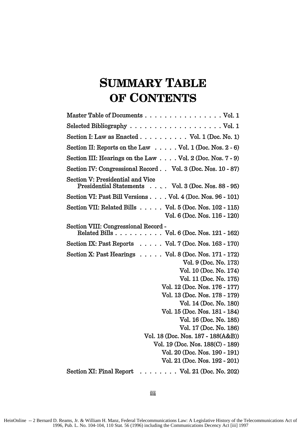## **SUMMARY TABLE OF CONTENTS**

| Master Table of Documents Vol. 1                                                                                                                                                                                                                                                                                                                                                                                                                                                    |
|-------------------------------------------------------------------------------------------------------------------------------------------------------------------------------------------------------------------------------------------------------------------------------------------------------------------------------------------------------------------------------------------------------------------------------------------------------------------------------------|
| Selected Bibliography $\ldots \ldots \ldots \ldots \ldots \ldots \ldots$ Vol. 1                                                                                                                                                                                                                                                                                                                                                                                                     |
| Section I: Law as Enacted $\ldots \ldots \ldots \ldots$ Vol. 1 (Doc. No. 1)                                                                                                                                                                                                                                                                                                                                                                                                         |
| Section II: Reports on the Law $\ldots$ . Vol. 1 (Doc. Nos. 2 - 6)                                                                                                                                                                                                                                                                                                                                                                                                                  |
| Section III: Hearings on the Law $\ldots$ Vol. 2 (Doc. Nos. 7 - 9)                                                                                                                                                                                                                                                                                                                                                                                                                  |
| Section IV: Congressional Record Vol. 3 (Doc. Nos. 10 - 87)                                                                                                                                                                                                                                                                                                                                                                                                                         |
| Section V: Presidential and Vice<br>Presidential Statements Vol. 3 (Doc. Nos. 88 - 95)                                                                                                                                                                                                                                                                                                                                                                                              |
| Section VI: Past Bill Versions Vol. 4 (Doc. Nos. 96 - 101)                                                                                                                                                                                                                                                                                                                                                                                                                          |
| Section VII: Related Bills $\ldots$ . Vol. 5 (Doc. Nos. 102 - 115)<br>Vol. 6 (Doc. Nos. 116 - 120)                                                                                                                                                                                                                                                                                                                                                                                  |
| Section VIII: Congressional Record -<br>Related Bills Vol. 6 (Doc. Nos. 121 - 162)                                                                                                                                                                                                                                                                                                                                                                                                  |
| Section IX: Past Reports $\ldots$ Vol. 7 (Doc. Nos. 163 - 170)                                                                                                                                                                                                                                                                                                                                                                                                                      |
| Section X: Past Hearings $\ldots$ . $\ldots$ Vol. 8 (Doc. Nos. 171 - 172)<br>Vol. 9 (Doc. No. 173)<br>Vol. 10 (Doc. No. 174)<br>Vol. 11 (Doc. No. 175)<br>Vol. 12 (Doc. Nos. 176 - 177)<br>Vol. 13 (Doc. Nos. 178 - 179)<br>Vol. 14 (Doc. No. 180)<br>Vol. 15 (Doc. Nos. 181 - 184)<br>Vol. 16 (Doc. No. 185)<br>Vol. 17 (Doc. No. 186)<br>Vol. 18 (Doc. Nos. 187 - 188(A&B))<br>Vol. 19 (Doc. Nos. 188(C) - 189)<br>Vol. 20 (Doc. Nos. 190 - 191)<br>Vol. 21 (Doc. Nos. 192 - 201) |
| Section XI: Final Report<br>. Vol. 21 (Doc. No. 202)                                                                                                                                                                                                                                                                                                                                                                                                                                |